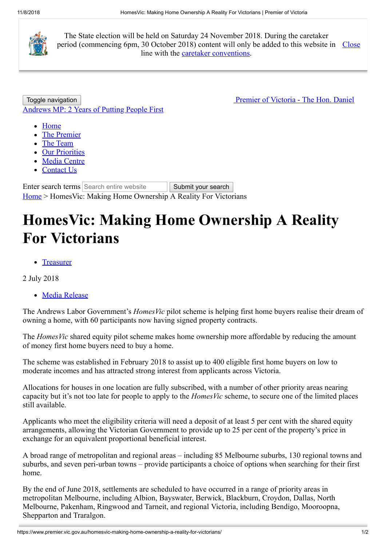

The State election will be held on Saturday 24 November 2018. During the caretaker period (commencing 6pm, 30 October 2018) content will only be added to this website in Close line with the [caretaker conventions](https://www.dpc.vic.gov.au/index.php/policies/caretaker-conventions-2018).

Toggle navigation **Premier of Victoria - The Hon. Daniel** [Andrews MP: 2 Years of Putting People First](https://www.premier.vic.gov.au/)

- [Home](https://www.premier.vic.gov.au/)
- [The Premier](https://www.premier.vic.gov.au/the-premier/)
- [The Team](https://www.premier.vic.gov.au/the-team/)
- [Our Priorities](https://www.premier.vic.gov.au/our-priorities/)
- [Media Centre](https://www.premier.vic.gov.au/media-centre/)
- [Contact Us](https://www.premier.vic.gov.au/contact-us/)

Enter search terms Search entire website Submit your search [Home](https://www.premier.vic.gov.au/) > HomesVic: Making Home Ownership A Reality For Victorians

## **HomesVic: Making Home Ownership A Reality For Victorians**

• [Treasurer](https://www.premier.vic.gov.au/category/ministers/treasurer/)

2 July 2018

[Media Release](https://www.premier.vic.gov.au/category/ministers/media-release/)

The Andrews Labor Government's *HomesVic* pilot scheme is helping first home buyers realise their dream of owning a home, with 60 participants now having signed property contracts.

The *HomesVic* shared equity pilot scheme makes home ownership more affordable by reducing the amount of money first home buyers need to buy a home.

The scheme was established in February 2018 to assist up to 400 eligible first home buyers on low to moderate incomes and has attracted strong interest from applicants across Victoria.

Allocations for houses in one location are fully subscribed, with a number of other priority areas nearing capacity but it's not too late for people to apply to the *HomesVic* scheme, to secure one of the limited places still available.

Applicants who meet the eligibility criteria will need a deposit of at least 5 per cent with the shared equity arrangements, allowing the Victorian Government to provide up to 25 per cent of the property's price in exchange for an equivalent proportional beneficial interest.

A broad range of metropolitan and regional areas – including 85 Melbourne suburbs, 130 regional towns and suburbs, and seven peri-urban towns – provide participants a choice of options when searching for their first home.

By the end of June 2018, settlements are scheduled to have occurred in a range of priority areas in metropolitan Melbourne, including Albion, Bayswater, Berwick, Blackburn, Croydon, Dallas, North Melbourne, Pakenham, Ringwood and Tarneit, and regional Victoria, including Bendigo, Mooroopna, Shepparton and Traralgon.